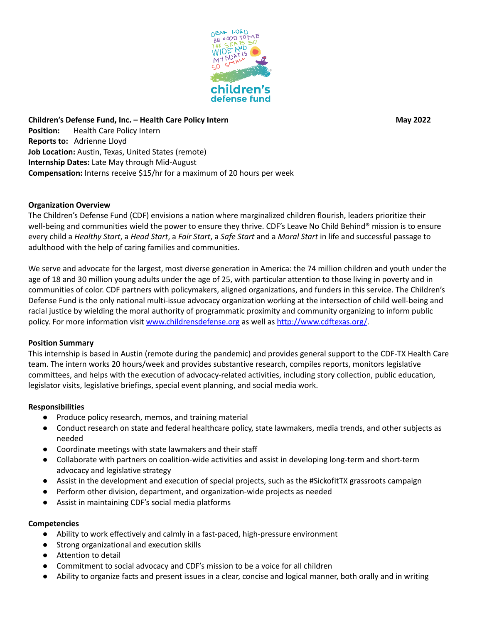

**Children's Defense Fund, Inc. – Health Care Policy Intern May 2022 Position:** Health Care Policy Intern **Reports to:** Adrienne Lloyd **Job Location:** Austin, Texas, United States (remote) **Internship Dates:** Late May through Mid-August **Compensation:** Interns receive \$15/hr for a maximum of 20 hours per week

# **Organization Overview**

The Children's Defense Fund (CDF) envisions a nation where marginalized children flourish, leaders prioritize their well-being and communities wield the power to ensure they thrive. CDF's Leave No Child Behind® mission is to ensure every child a *Healthy Start*, a *Head Start*, a *Fair Start*, a *Safe Start* and a *Moral Start* in life and successful passage to adulthood with the help of caring families and communities.

We serve and advocate for the largest, most diverse generation in America: the 74 million children and youth under the age of 18 and 30 million young adults under the age of 25, with particular attention to those living in poverty and in communities of color. CDF partners with policymakers, aligned organizations, and funders in this service. The Children's Defense Fund is the only national multi-issue advocacy organization working at the intersection of child well-being and racial justice by wielding the moral authority of programmatic proximity and community organizing to inform public policy. For more information visit [www.childrensdefense.org](http://www.childrensdefense.org) as well as [http://www.cdftexas.org/.](http://www.cdftexas.org/)

### **Position Summary**

This internship is based in Austin (remote during the pandemic) and provides general support to the CDF-TX Health Care team. The intern works 20 hours/week and provides substantive research, compiles reports, monitors legislative committees, and helps with the execution of advocacy-related activities, including story collection, public education, legislator visits, legislative briefings, special event planning, and social media work.

### **Responsibilities**

- Produce policy research, memos, and training material
- Conduct research on state and federal healthcare policy, state lawmakers, media trends, and other subjects as needed
- Coordinate meetings with state lawmakers and their staff
- Collaborate with partners on coalition-wide activities and assist in developing long-term and short-term advocacy and legislative strategy
- Assist in the development and execution of special projects, such as the #SickofitTX grassroots campaign
- Perform other division, department, and organization-wide projects as needed
- **●** Assist in maintaining CDF's social media platforms

### **Competencies**

- Ability to work effectively and calmly in a fast-paced, high-pressure environment
- Strong organizational and execution skills
- Attention to detail
- Commitment to social advocacy and CDF's mission to be a voice for all children
- Ability to organize facts and present issues in a clear, concise and logical manner, both orally and in writing